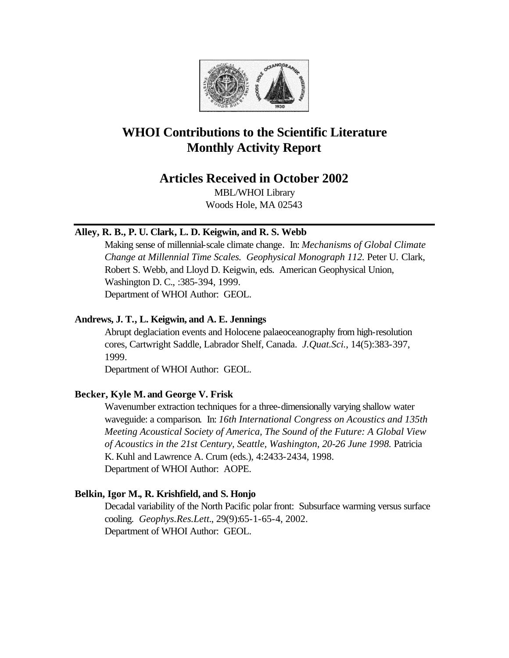

# **WHOI Contributions to the Scientific Literature Monthly Activity Report**

## **Articles Received in October 2002**

MBL/WHOI Library Woods Hole, MA 02543

## **Alley, R. B., P. U. Clark, L. D. Keigwin, and R. S. Webb**

Making sense of millennial-scale climate change. In: *Mechanisms of Global Climate Change at Millennial Time Scales. Geophysical Monograph 112.* Peter U. Clark, Robert S. Webb, and Lloyd D. Keigwin, eds. American Geophysical Union, Washington D. C., :385-394, 1999. Department of WHOI Author: GEOL.

## **Andrews, J. T., L. Keigwin, and A. E. Jennings**

Abrupt deglaciation events and Holocene palaeoceanography from high-resolution cores, Cartwright Saddle, Labrador Shelf, Canada. *J.Quat.Sci.*, 14(5):383-397, 1999.

Department of WHOI Author: GEOL.

## **Becker, Kyle M. and George V. Frisk**

Wavenumber extraction techniques for a three-dimensionally varying shallow water waveguide: a comparison. In: *16th International Congress on Acoustics and 135th Meeting Acoustical Society of America, The Sound of the Future: A Global View of Acoustics in the 21st Century, Seattle, Washington, 20-26 June 1998.* Patricia K. Kuhl and Lawrence A. Crum (eds.), 4:2433-2434, 1998. Department of WHOI Author: AOPE.

## **Belkin, Igor M., R. Krishfield, and S. Honjo**

Decadal variability of the North Pacific polar front: Subsurface warming versus surface cooling. *Geophys.Res.Lett.*, 29(9):65-1-65-4, 2002. Department of WHOI Author: GEOL.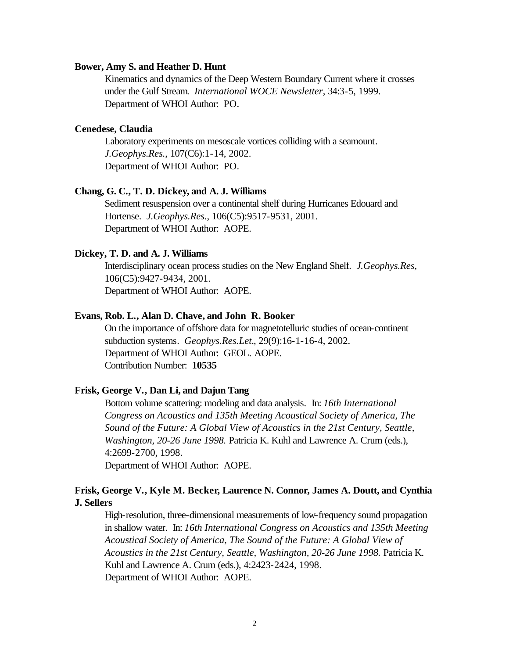#### **Bower, Amy S. and Heather D. Hunt**

Kinematics and dynamics of the Deep Western Boundary Current where it crosses under the Gulf Stream. *International WOCE Newsletter*, 34:3-5, 1999. Department of WHOI Author: PO.

## **Cenedese, Claudia**

Laboratory experiments on mesoscale vortices colliding with a seamount. *J.Geophys.Res.*, 107(C6):1-14, 2002. Department of WHOI Author: PO.

## **Chang, G. C., T. D. Dickey, and A. J. Williams**

Sediment resuspension over a continental shelf during Hurricanes Edouard and Hortense. *J.Geophys.Res.*, 106(C5):9517-9531, 2001. Department of WHOI Author: AOPE.

#### **Dickey, T. D. and A. J. Williams**

Interdisciplinary ocean process studies on the New England Shelf. *J.Geophys.Res*, 106(C5):9427-9434, 2001. Department of WHOI Author: AOPE.

#### **Evans, Rob. L., Alan D. Chave, and John R. Booker**

On the importance of offshore data for magnetotelluric studies of ocean-continent subduction systems. *Geophys.Res.Let.*, 29(9):16-1-16-4, 2002. Department of WHOI Author: GEOL. AOPE. Contribution Number: **10535**

## **Frisk, George V., Dan Li, and Dajun Tang**

Bottom volume scattering: modeling and data analysis*.* In: *16th International Congress on Acoustics and 135th Meeting Acoustical Society of America, The Sound of the Future: A Global View of Acoustics in the 21st Century, Seattle, Washington, 20-26 June 1998.* Patricia K. Kuhl and Lawrence A. Crum (eds.), 4:2699-2700, 1998.

Department of WHOI Author: AOPE.

## **Frisk, George V., Kyle M. Becker, Laurence N. Connor, James A. Doutt, and Cynthia J. Sellers**

High-resolution, three-dimensional measurements of low-frequency sound propagation in shallow water. In: *16th International Congress on Acoustics and 135th Meeting Acoustical Society of America, The Sound of the Future: A Global View of Acoustics in the 21st Century, Seattle, Washington, 20-26 June 1998.* Patricia K. Kuhl and Lawrence A. Crum (eds.), 4:2423-2424, 1998. Department of WHOI Author: AOPE.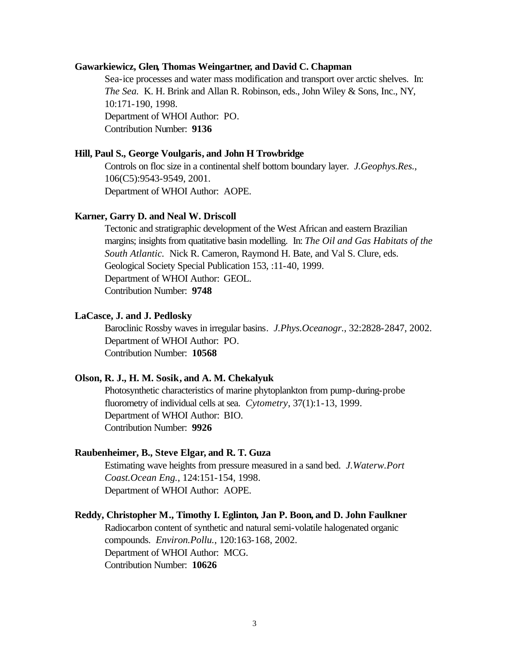#### **Gawarkiewicz, Glen, Thomas Weingartner, and David C. Chapman**

Sea-ice processes and water mass modification and transport over arctic shelves. In: *The Sea.* K. H. Brink and Allan R. Robinson, eds., John Wiley & Sons, Inc., NY, 10:171-190, 1998. Department of WHOI Author: PO. Contribution Number: **9136**

#### **Hill, Paul S., George Voulgaris, and John H Trowbridge**

Controls on floc size in a continental shelf bottom boundary layer. *J.Geophys.Res.*, 106(C5):9543-9549, 2001. Department of WHOI Author: AOPE.

#### **Karner, Garry D. and Neal W. Driscoll**

Tectonic and stratigraphic development of the West African and eastern Brazilian margins; insights from quatitative basin modelling. In: *The Oil and Gas Habitats of the South Atlantic.* Nick R. Cameron, Raymond H. Bate, and Val S. Clure, eds. Geological Society Special Publication 153, :11-40, 1999. Department of WHOI Author: GEOL. Contribution Number: **9748**

### **LaCasce, J. and J. Pedlosky**

Baroclinic Rossby waves in irregular basins. *J.Phys.Oceanogr.*, 32:2828-2847, 2002. Department of WHOI Author: PO. Contribution Number: **10568**

#### **Olson, R. J., H. M. Sosik, and A. M. Chekalyuk**

Photosynthetic characteristics of marine phytoplankton from pump-during-probe fluorometry of individual cells at sea. *Cytometry*, 37(1):1-13, 1999. Department of WHOI Author: BIO. Contribution Number: **9926**

## **Raubenheimer, B., Steve Elgar, and R. T. Guza**

Estimating wave heights from pressure measured in a sand bed. *J.Waterw.Port Coast.Ocean Eng.*, 124:151-154, 1998. Department of WHOI Author: AOPE.

#### **Reddy, Christopher M., Timothy I. Eglinton, Jan P. Boon, and D. John Faulkner**

Radiocarbon content of synthetic and natural semi-volatile halogenated organic compounds. *Environ.Pollu.*, 120:163-168, 2002. Department of WHOI Author: MCG. Contribution Number: **10626**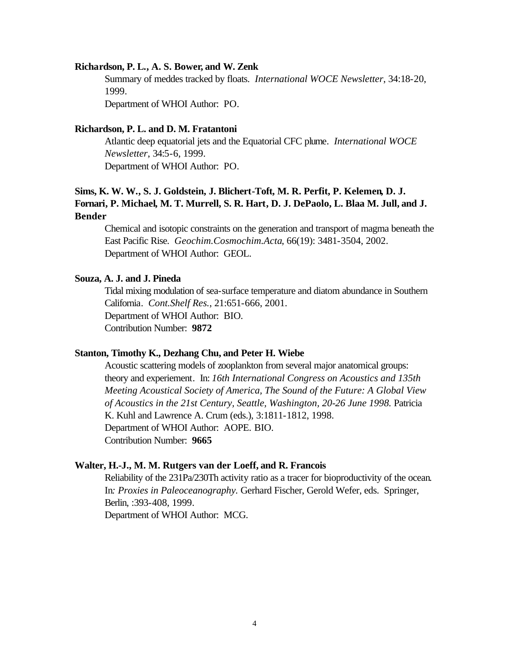#### **Richardson, P. L., A. S. Bower, and W. Zenk**

Summary of meddes tracked by floats. *International WOCE Newsletter*, 34:18-20, 1999.

Department of WHOI Author: PO.

#### **Richardson, P. L. and D. M. Fratantoni**

Atlantic deep equatorial jets and the Equatorial CFC plume. *International WOCE Newsletter*, 34:5-6, 1999. Department of WHOI Author: PO.

## **Sims, K. W. W., S. J. Goldstein, J. Blichert-Toft, M. R. Perfit, P. Kelemen, D. J. Fornari, P. Michael, M. T. Murrell, S. R. Hart, D. J. DePaolo, L. Blaa M. Jull, and J. Bender**

Chemical and isotopic constraints on the generation and transport of magma beneath the East Pacific Rise. *Geochim.Cosmochim.Acta*, 66(19): 3481-3504, 2002. Department of WHOI Author: GEOL.

## **Souza, A. J. and J. Pineda**

Tidal mixing modulation of sea-surface temperature and diatom abundance in Southern California. *Cont.Shelf Res.*, 21:651-666, 2001. Department of WHOI Author: BIO. Contribution Number: **9872**

#### **Stanton, Timothy K., Dezhang Chu, and Peter H. Wiebe**

Acoustic scattering models of zooplankton from several major anatomical groups: theory and experiement. In: *16th International Congress on Acoustics and 135th Meeting Acoustical Society of America, The Sound of the Future: A Global View of Acoustics in the 21st Century, Seattle, Washington, 20-26 June 1998.* Patricia K. Kuhl and Lawrence A. Crum (eds.), 3:1811-1812, 1998. Department of WHOI Author: AOPE. BIO. Contribution Number: **9665**

#### **Walter, H.-J., M. M. Rutgers van der Loeff, and R. Francois**

Reliability of the 231Pa/230Th activity ratio as a tracer for bioproductivity of the ocean. In*: Proxies in Paleoceanography.* Gerhard Fischer, Gerold Wefer, eds. Springer, Berlin, :393-408, 1999.

Department of WHOI Author: MCG.